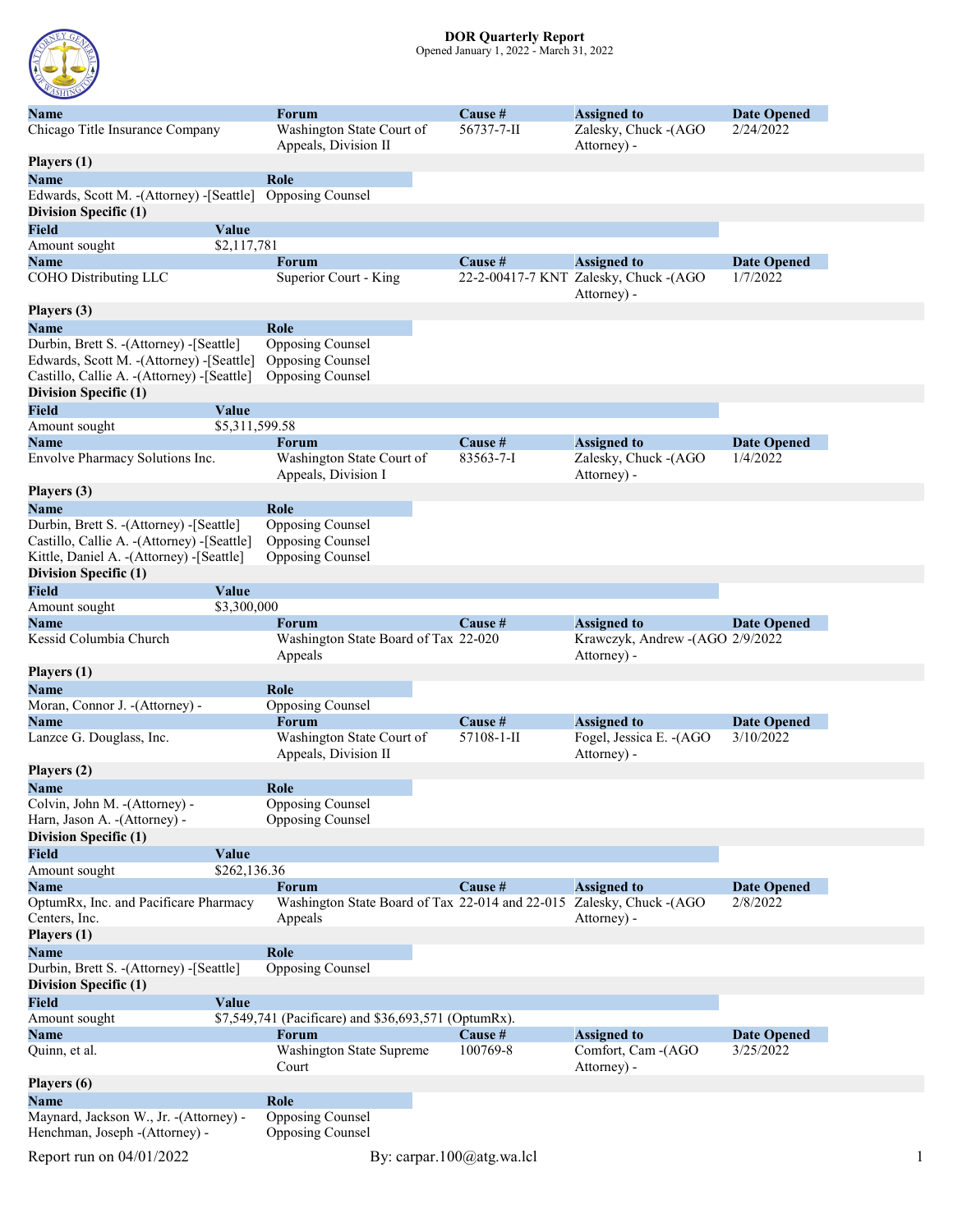

## DOR Quarterly Report

Opened January 1, 2022 - March 31, 2022

| Name                                         | <b>Forum</b>                                                         | Cause #    | <b>Assigned to</b>                                   | <b>Date Opened</b> |
|----------------------------------------------|----------------------------------------------------------------------|------------|------------------------------------------------------|--------------------|
| Chicago Title Insurance Company              | Washington State Court of<br>Appeals, Division II                    | 56737-7-II | Zalesky, Chuck -(AGO<br>Attorney) -                  | 2/24/2022          |
| Players (1)                                  |                                                                      |            |                                                      |                    |
| Name                                         | Role                                                                 |            |                                                      |                    |
| Edwards, Scott M. - (Attorney) - [Seattle]   | Opposing Counsel                                                     |            |                                                      |                    |
| Division Specific (1)                        |                                                                      |            |                                                      |                    |
| <b>Field</b><br>Value                        |                                                                      |            |                                                      |                    |
|                                              |                                                                      |            |                                                      |                    |
| \$2,117,781<br>Amount sought                 |                                                                      |            |                                                      |                    |
| <b>Name</b>                                  | <b>Forum</b>                                                         | Cause #    | <b>Assigned to</b>                                   | <b>Date Opened</b> |
| COHO Distributing LLC                        | Superior Court - King                                                |            | 22-2-00417-7 KNT Zalesky, Chuck -(AGO<br>Attorney) - | 1/7/2022           |
| Players (3)                                  |                                                                      |            |                                                      |                    |
| Name                                         | Role                                                                 |            |                                                      |                    |
| Durbin, Brett S. - (Attorney) - [Seattle]    | Opposing Counsel                                                     |            |                                                      |                    |
| Edwards, Scott M. - (Attorney) - [Seattle]   | Opposing Counsel                                                     |            |                                                      |                    |
| Castillo, Callie A. - (Attorney) - [Seattle] | Opposing Counsel                                                     |            |                                                      |                    |
| Division Specific (1)                        |                                                                      |            |                                                      |                    |
| <b>Field</b><br>Value                        |                                                                      |            |                                                      |                    |
| \$5,311,599.58<br>Amount sought              |                                                                      |            |                                                      |                    |
| <b>Name</b>                                  | Forum                                                                | Cause #    | <b>Assigned to</b>                                   | <b>Date Opened</b> |
| Envolve Pharmacy Solutions Inc.              | Washington State Court of                                            | 83563-7-I  | Zalesky, Chuck -(AGO                                 | 1/4/2022           |
|                                              | Appeals, Division I                                                  |            | Attorney) -                                          |                    |
| Players (3)                                  |                                                                      |            |                                                      |                    |
| <b>Name</b>                                  | Role                                                                 |            |                                                      |                    |
| Durbin, Brett S. - (Attorney) - [Seattle]    | Opposing Counsel                                                     |            |                                                      |                    |
| Castillo, Callie A. - (Attorney) - [Seattle] | Opposing Counsel                                                     |            |                                                      |                    |
|                                              | Opposing Counsel                                                     |            |                                                      |                    |
| Kittle, Daniel A. - (Attorney) - [Seattle]   |                                                                      |            |                                                      |                    |
| Division Specific (1)                        |                                                                      |            |                                                      |                    |
| <b>Field</b><br>Value                        |                                                                      |            |                                                      |                    |
| \$3,300,000<br>Amount sought                 |                                                                      |            |                                                      |                    |
| Name                                         | <b>Forum</b>                                                         | Cause #    | <b>Assigned to</b>                                   | <b>Date Opened</b> |
| Kessid Columbia Church                       | Washington State Board of Tax 22-020<br>Appeals                      |            | Krawczyk, Andrew -(AGO 2/9/2022<br>Attorney) -       |                    |
| Players (1)                                  |                                                                      |            |                                                      |                    |
| Name                                         | Role                                                                 |            |                                                      |                    |
| Moran, Connor J. - (Attorney) -              | Opposing Counsel                                                     |            |                                                      |                    |
| Name                                         | <b>Forum</b>                                                         | Cause #    | <b>Assigned to</b>                                   | <b>Date Opened</b> |
| Lanzce G. Douglass, Inc.                     | Washington State Court of                                            | 57108-1-II | Fogel, Jessica E. - (AGO                             | 3/10/2022          |
|                                              | Appeals, Division II                                                 |            | Attorney) -                                          |                    |
| Players (2)                                  |                                                                      |            |                                                      |                    |
| Name                                         | Role                                                                 |            |                                                      |                    |
| Colvin, John M. - (Attorney) -               | <b>Opposing Counsel</b>                                              |            |                                                      |                    |
| Harn, Jason A. - (Attorney) -                | Opposing Counsel                                                     |            |                                                      |                    |
| <b>Division Specific (1)</b>                 |                                                                      |            |                                                      |                    |
|                                              |                                                                      |            |                                                      |                    |
| <b>Field</b><br>Value                        |                                                                      |            |                                                      |                    |
| Amount sought<br>\$262,136.36                |                                                                      |            |                                                      |                    |
| <b>Name</b>                                  | Forum                                                                | Cause #    | <b>Assigned to</b>                                   | <b>Date Opened</b> |
| OptumRx, Inc. and Pacificare Pharmacy        | Washington State Board of Tax 22-014 and 22-015 Zalesky, Chuck -(AGO |            |                                                      | 2/8/2022           |
| Centers, Inc.                                | Appeals                                                              |            | Attorney) -                                          |                    |
| Players (1)                                  |                                                                      |            |                                                      |                    |
| <b>Name</b>                                  | Role                                                                 |            |                                                      |                    |
| Durbin, Brett S. - (Attorney) - [Seattle]    | Opposing Counsel                                                     |            |                                                      |                    |
| <b>Division Specific (1)</b>                 |                                                                      |            |                                                      |                    |
| <b>Field</b><br>Value                        |                                                                      |            |                                                      |                    |
| Amount sought                                | \$7,549,741 (Pacificare) and \$36,693,571 (OptumRx).                 |            |                                                      |                    |
| <b>Name</b>                                  | Forum                                                                | Cause #    | <b>Assigned to</b>                                   | <b>Date Opened</b> |
| Quinn, et al.                                | Washington State Supreme                                             | 100769-8   | Comfort, Cam -(AGO                                   | 3/25/2022          |
|                                              | Court                                                                |            | Attorney) -                                          |                    |
| Players (6)                                  |                                                                      |            |                                                      |                    |
| <b>Name</b>                                  | Role                                                                 |            |                                                      |                    |
| Maynard, Jackson W., Jr. - (Attorney) -      | Opposing Counsel                                                     |            |                                                      |                    |
| Henchman, Joseph -(Attorney) -               | Opposing Counsel                                                     |            |                                                      |                    |
| Report run on 04/01/2022                     | By: carpar.100@atg.wa.lcl                                            |            |                                                      |                    |